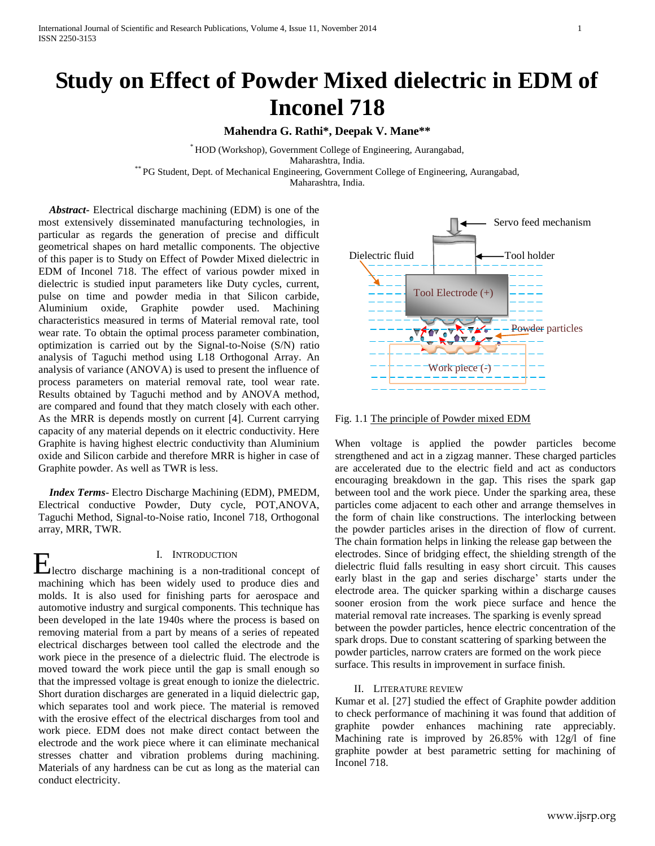# **Study on Effect of Powder Mixed dielectric in EDM of Inconel 718**

**Mahendra G. Rathi\*, Deepak V. Mane\*\***

\* HOD (Workshop), Government College of Engineering, Aurangabad, Maharashtra, India. \*\* PG Student, Dept. of Mechanical Engineering, Government College of Engineering, Aurangabad, Maharashtra, India.

 *Abstract***-** Electrical discharge machining (EDM) is one of the most extensively disseminated manufacturing technologies, in particular as regards the generation of precise and difficult geometrical shapes on hard metallic components. The objective of this paper is to Study on Effect of Powder Mixed dielectric in EDM of Inconel 718. The effect of various powder mixed in dielectric is studied input parameters like Duty cycles, current, pulse on time and powder media in that Silicon carbide, Aluminium oxide, Graphite powder used. Machining characteristics measured in terms of Material removal rate, tool wear rate. To obtain the optimal process parameter combination, optimization is carried out by the Signal-to-Noise (S/N) ratio analysis of Taguchi method using L18 Orthogonal Array. An analysis of variance (ANOVA) is used to present the influence of process parameters on material removal rate, tool wear rate. Results obtained by Taguchi method and by ANOVA method, are compared and found that they match closely with each other. As the MRR is depends mostly on current [4]. Current carrying capacity of any material depends on it electric conductivity. Here Graphite is having highest electric conductivity than Aluminium oxide and Silicon carbide and therefore MRR is higher in case of Graphite powder. As well as TWR is less.

 *Index Terms*- Electro Discharge Machining (EDM), PMEDM, Electrical conductive Powder, Duty cycle, POT,ANOVA, Taguchi Method, Signal-to-Noise ratio, Inconel 718, Orthogonal array, MRR, TWR.

#### I. INTRODUCTION

Electro discharge machining is a non-traditional concept of machining which has been widely used to produce dies and molds. It is also used for finishing parts for aerospace and automotive industry and surgical components. This technique has been developed in the late 1940s where the process is based on removing material from a part by means of a series of repeated electrical discharges between tool called the electrode and the work piece in the presence of a dielectric fluid. The electrode is moved toward the work piece until the gap is small enough so that the impressed voltage is great enough to ionize the dielectric. Short duration discharges are generated in a liquid dielectric gap, which separates tool and work piece. The material is removed with the erosive effect of the electrical discharges from tool and work piece. EDM does not make direct contact between the electrode and the work piece where it can eliminate mechanical stresses chatter and vibration problems during machining. Materials of any hardness can be cut as long as the material can conduct electricity.



Fig. 1.1 The principle of Powder mixed EDM

When voltage is applied the powder particles become strengthened and act in a zigzag manner. These charged particles are accelerated due to the electric field and act as conductors encouraging breakdown in the gap. This rises the spark gap between tool and the work piece. Under the sparking area, these particles come adjacent to each other and arrange themselves in the form of chain like constructions. The interlocking between the powder particles arises in the direction of flow of current. The chain formation helps in linking the release gap between the electrodes. Since of bridging effect, the shielding strength of the dielectric fluid falls resulting in easy short circuit. This causes early blast in the gap and series discharge' starts under the electrode area. The quicker sparking within a discharge causes sooner erosion from the work piece surface and hence the material removal rate increases. The sparking is evenly spread between the powder particles, hence electric concentration of the spark drops. Due to constant scattering of sparking between the powder particles, narrow craters are formed on the work piece surface. This results in improvement in surface finish.

#### II. LITERATURE REVIEW

Kumar et al. [27] studied the effect of Graphite powder addition to check performance of machining it was found that addition of graphite powder enhances machining rate appreciably. Machining rate is improved by 26.85% with 12g/l of fine graphite powder at best parametric setting for machining of Inconel 718.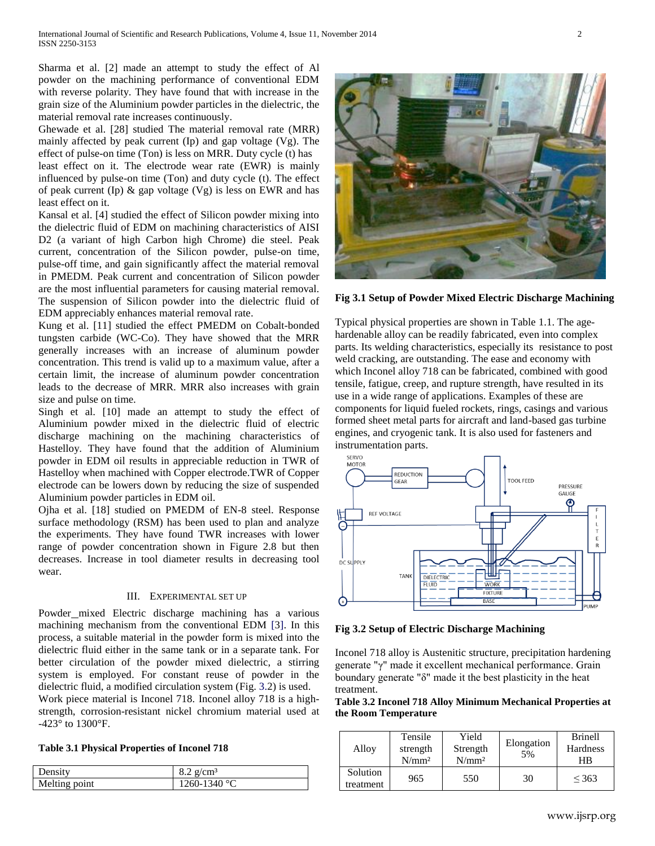Sharma et al. [2] made an attempt to study the effect of Al powder on the machining performance of conventional EDM with reverse polarity. They have found that with increase in the grain size of the Aluminium powder particles in the dielectric, the material removal rate increases continuously.

Ghewade et al. [28] studied The material removal rate (MRR) mainly affected by peak current (Ip) and gap voltage (Vg). The effect of pulse-on time (Ton) is less on MRR. Duty cycle (t) has

least effect on it. The electrode wear rate (EWR) is mainly influenced by pulse-on time (Ton) and duty cycle (t). The effect of peak current (Ip)  $\&$  gap voltage (Vg) is less on EWR and has least effect on it.

Kansal et al. [4] studied the effect of Silicon powder mixing into the dielectric fluid of EDM on machining characteristics of AISI D2 (a variant of high Carbon high Chrome) die steel. Peak current, concentration of the Silicon powder, pulse-on time, pulse-off time, and gain significantly affect the material removal in PMEDM. Peak current and concentration of Silicon powder are the most influential parameters for causing material removal. The suspension of Silicon powder into the dielectric fluid of EDM appreciably enhances material removal rate.

Kung et al. [11] studied the effect PMEDM on Cobalt-bonded tungsten carbide (WC-Co). They have showed that the MRR generally increases with an increase of aluminum powder concentration. This trend is valid up to a maximum value, after a certain limit, the increase of aluminum powder concentration leads to the decrease of MRR. MRR also increases with grain size and pulse on time.

Singh et al. [10] made an attempt to study the effect of Aluminium powder mixed in the dielectric fluid of electric discharge machining on the machining characteristics of Hastelloy. They have found that the addition of Aluminium powder in EDM oil results in appreciable reduction in TWR of Hastelloy when machined with Copper electrode.TWR of Copper electrode can be lowers down by reducing the size of suspended Aluminium powder particles in EDM oil.

Ojha et al. [18] studied on PMEDM of EN-8 steel. Response surface methodology (RSM) has been used to plan and analyze the experiments. They have found TWR increases with lower range of powder concentration shown in Figure 2.8 but then decreases. Increase in tool diameter results in decreasing tool wear.

## III. EXPERIMENTAL SET UP

Powder\_mixed Electric discharge machining has a various machining mechanism from the conventional EDM [3]. In this process, a suitable material in the powder form is mixed into the dielectric fluid either in the same tank or in a separate tank. For better circulation of the powder mixed dielectric, a stirring system is employed. For constant reuse of powder in the dielectric fluid, a modified circulation system (Fig. 3.2) is used.

Work piece material is Inconel 718. Inconel alloy 718 is a highstrength, corrosion-resistant nickel chromium material used at -423° to 1300°F.

|  |  |  | <b>Table 3.1 Physical Properties of Inconel 718</b> |  |  |
|--|--|--|-----------------------------------------------------|--|--|
|--|--|--|-----------------------------------------------------|--|--|

| $8.2$ g/cm <sup>3</sup><br>Density<br>Melting point<br>1260-1340 °C |  |
|---------------------------------------------------------------------|--|
|                                                                     |  |
|                                                                     |  |

**Fig 3.1 Setup of Powder Mixed Electric Discharge Machining**

Typical physical properties are shown in Table 1.1. The agehardenable alloy can be readily fabricated, even into complex parts. Its welding characteristics, especially its resistance to post weld cracking, are outstanding. The ease and economy with which Inconel alloy 718 can be fabricated, combined with good tensile, fatigue, creep, and rupture strength, have resulted in its use in a wide range of applications. Examples of these are components for liquid fueled rockets, rings, casings and various formed sheet metal parts for aircraft and land-based gas turbine engines, and cryogenic tank. It is also used for fasteners and instrumentation parts.



**Fig 3.2 Setup of Electric Discharge Machining**

Inconel 718 alloy is Austenitic structure, precipitation hardening generate "γ" made it excellent mechanical performance. Grain boundary generate "δ" made it the best plasticity in the heat treatment.

**Table 3.2 Inconel 718 Alloy Minimum Mechanical Properties at the Room Temperature**

| Alloy                 | Tensile<br>strength<br>N/mm <sup>2</sup> | Yield<br>Strength<br>N/mm <sup>2</sup> | Elongation<br>5% | <b>Brinell</b><br>Hardness<br>HB |
|-----------------------|------------------------------------------|----------------------------------------|------------------|----------------------------------|
| Solution<br>treatment | 965                                      | 550                                    | 30               | < 363                            |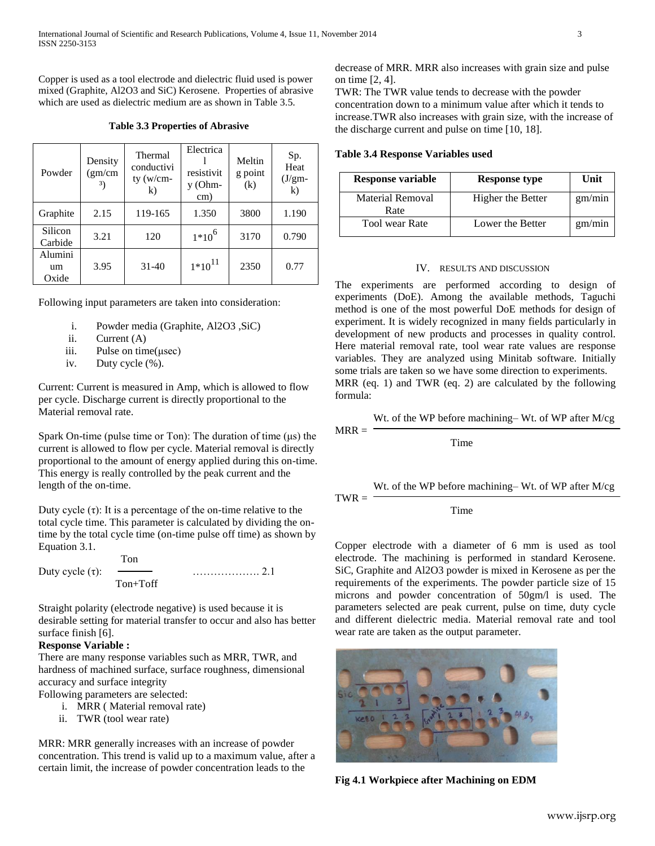Copper is used as a tool electrode and dielectric fluid used is power mixed (Graphite, Al2O3 and SiC) Kerosene. Properties of abrasive which are used as dielectric medium are as shown in Table 3.5.

**Table 3.3 Properties of Abrasive**

| Powder                 | Density<br>(gm/cm)<br>3) | Thermal<br>conductivi<br>ty (w/cm- | Electrica<br>resistivit<br>y (Ohm-<br>cm) | Meltin<br>g point<br>(k) | Sp.<br>Heat<br>$(J/gm-$<br>k) |
|------------------------|--------------------------|------------------------------------|-------------------------------------------|--------------------------|-------------------------------|
| Graphite               | 2.15                     | 119-165                            | 1.350                                     | 3800                     | 1.190                         |
| Silicon<br>Carbide     | 3.21                     | 120                                | $1*10^6$                                  | 3170                     | 0.790                         |
| Alumini<br>um<br>Oxide | 3.95                     | $31 - 40$                          | $1*10^{11}$                               | 2350                     | 0.77                          |

Following input parameters are taken into consideration:

- i. Powder media (Graphite, Al2O3 ,SiC)
- ii. Current (A)
- iii. Pulse on time(μsec)
- iv. Duty cycle (%).

Current: Current is measured in Amp, which is allowed to flow per cycle. Discharge current is directly proportional to the Material removal rate.

Spark On-time (pulse time or Ton): The duration of time (μs) the current is allowed to flow per cycle. Material removal is directly proportional to the amount of energy applied during this on-time. This energy is really controlled by the peak current and the length of the on-time.

Duty cycle (τ): It is a percentage of the on-time relative to the total cycle time. This parameter is calculated by dividing the ontime by the total cycle time (on-time pulse off time) as shown by Equation 3.1.

 Ton Duty cycle  $(\tau)$ : —  $\cdots$   $\cdots$   $\cdots$  2.1 Ton+Toff

Straight polarity (electrode negative) is used because it is desirable setting for material transfer to occur and also has better surface finish [6].

## **Response Variable :**

There are many response variables such as MRR, TWR, and hardness of machined surface, surface roughness, dimensional accuracy and surface integrity

Following parameters are selected:

- i. MRR ( Material removal rate)
- ii. TWR (tool wear rate)

MRR: MRR generally increases with an increase of powder concentration. This trend is valid up to a maximum value, after a certain limit, the increase of powder concentration leads to the

decrease of MRR. MRR also increases with grain size and pulse on time [2, 4].

TWR: The TWR value tends to decrease with the powder concentration down to a minimum value after which it tends to increase.TWR also increases with grain size, with the increase of the discharge current and pulse on time [10, 18].

#### **Table 3.4 Response Variables used**

| <b>Response variable</b> | <b>Response type</b> | Unit   |
|--------------------------|----------------------|--------|
| Material Removal<br>Rate | Higher the Better    | gm/min |
| <b>Tool</b> wear Rate    | Lower the Better     | gm/min |

#### IV. RESULTS AND DISCUSSION

The experiments are performed according to design of experiments (DoE). Among the available methods, Taguchi method is one of the most powerful DoE methods for design of experiment. It is widely recognized in many fields particularly in development of new products and processes in quality control. Here material removal rate, tool wear rate values are response variables. They are analyzed using Minitab software. Initially some trials are taken so we have some direction to experiments. MRR (eq. 1) and TWR (eq. 2) are calculated by the following formula:

Wt. of the WP before machining– Wt. of WP after M/cg

Time

 $MRR = -$ 

 $TWR =$ 

Wt. of the WP before machining– Wt. of WP after M/cg

Time

Copper electrode with a diameter of 6 mm is used as tool electrode. The machining is performed in standard Kerosene. SiC, Graphite and Al2O3 powder is mixed in Kerosene as per the requirements of the experiments. The powder particle size of 15 microns and powder concentration of 50gm/l is used. The parameters selected are peak current, pulse on time, duty cycle and different dielectric media. Material removal rate and tool wear rate are taken as the output parameter.



**Fig 4.1 Workpiece after Machining on EDM**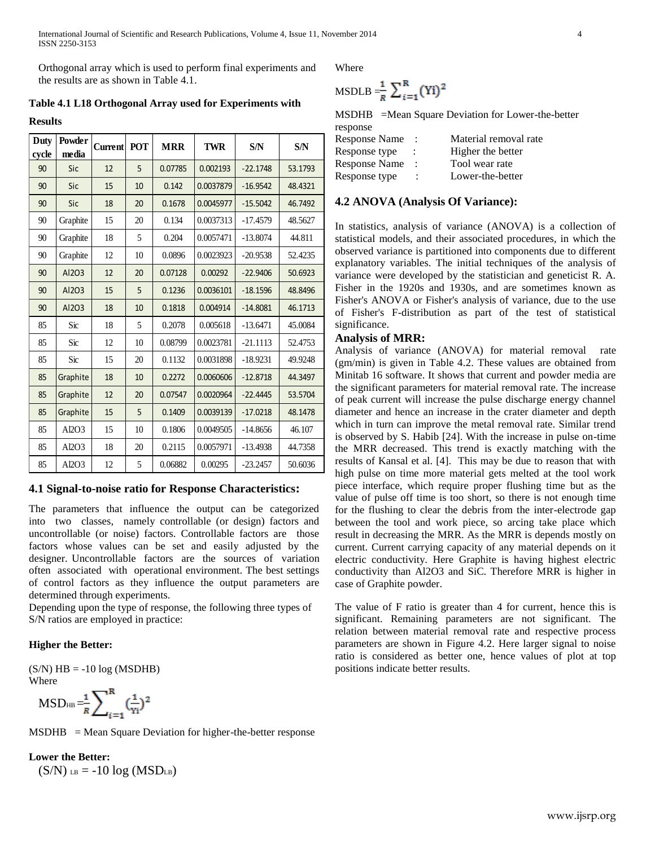International Journal of Scientific and Research Publications, Volume 4, Issue 11, November 2014 4 ISSN 2250-3153

Orthogonal array which is used to perform final experiments and the results are as shown in Table 4.1.

**Table 4.1 L18 Orthogonal Array used for Experiments with** 

**Results**

| Duty<br>cycle | Powder<br>media | <b>Current</b> | <b>POT</b> | <b>MRR</b> | <b>TWR</b> | S/N        | S/N     |
|---------------|-----------------|----------------|------------|------------|------------|------------|---------|
| 90            | Sic             | 12             | 5          | 0.07785    | 0.002193   | $-22.1748$ | 53.1793 |
| 90            | Sic             | 15             | 10         | 0.142      | 0.0037879  | $-16.9542$ | 48.4321 |
| 90            | Sic             | 18             | 20         | 0.1678     | 0.0045977  | $-15.5042$ | 46.7492 |
| 90            | Graphite        | 15             | 20         | 0.134      | 0.0037313  | $-17.4579$ | 48.5627 |
| 90            | Graphite        | 18             | 5          | 0.204      | 0.0057471  | $-13.8074$ | 44.811  |
| 90            | Graphite        | 12             | 10         | 0.0896     | 0.0023923  | $-20.9538$ | 52.4235 |
| 90            | AI203           | 12             | 20         | 0.07128    | 0.00292    | $-22.9406$ | 50.6923 |
| 90            | Al203           | 15             | 5          | 0.1236     | 0.0036101  | $-18.1596$ | 48.8496 |
| 90            | Al203           | 18             | 10         | 0.1818     | 0.004914   | $-14.8081$ | 46.1713 |
| 85            | Sic             | 18             | 5          | 0.2078     | 0.005618   | $-13.6471$ | 45.0084 |
| 85            | Sic             | 12             | 10         | 0.08799    | 0.0023781  | $-21.1113$ | 52.4753 |
| 85            | Sic             | 15             | 20         | 0.1132     | 0.0031898  | $-18.9231$ | 49.9248 |
| 85            | Graphite        | 18             | 10         | 0.2272     | 0.0060606  | $-12.8718$ | 44.3497 |
| 85            | Graphite        | 12             | 20         | 0.07547    | 0.0020964  | $-22.4445$ | 53.5704 |
| 85            | Graphite        | 15             | 5          | 0.1409     | 0.0039139  | $-17.0218$ | 48.1478 |
| 85            | Al2O3           | 15             | 10         | 0.1806     | 0.0049505  | $-14.8656$ | 46.107  |
| 85            | Al2O3           | 18             | 20         | 0.2115     | 0.0057971  | $-13.4938$ | 44.7358 |
| 85            | Al2O3           | 12             | 5          | 0.06882    | 0.00295    | $-23.2457$ | 50.6036 |

## **4.1 Signal-to-noise ratio for Response Characteristics:**

The parameters that influence the output can be categorized into two classes, namely controllable (or design) factors and uncontrollable (or noise) factors. Controllable factors are those factors whose values can be set and easily adjusted by the designer. Uncontrollable factors are the sources of variation often associated with operational environment. The best settings of control factors as they influence the output parameters are determined through experiments.

Depending upon the type of response, the following three types of S/N ratios are employed in practice:

#### **Higher the Better:**

 $(S/N)$  HB = -10 log (MSDHB) Where

$$
MSD_{HB} = \frac{1}{R} \sum_{i=1}^{R} (\frac{1}{Y_i})^2
$$

 $MSDHB$  = Mean Square Deviation for higher-the-better response

**Lower the Better:**

 $(S/N)$  LB = -10 log (MSD<sub>LB</sub>)

Where

$$
\text{MSDLB} = \frac{1}{R} \sum_{i=1}^{R} (\text{Yi})^2
$$

MSDHB =Mean Square Deviation for Lower-the-better response

| Response Name        |   | Material removal rate |
|----------------------|---|-----------------------|
| Response type        |   | Higher the better     |
| <b>Response Name</b> | ÷ | Tool wear rate        |
| Response type        |   | Lower-the-better      |

## **4.2 ANOVA (Analysis Of Variance):**

In statistics, analysis of variance (ANOVA) is a collection of statistical models, and their associated procedures, in which the observed variance is partitioned into components due to different explanatory variables. The initial techniques of the analysis of variance were developed by the statistician and geneticist R. A. Fisher in the 1920s and 1930s, and are sometimes known as Fisher's ANOVA or Fisher's analysis of variance, due to the use of Fisher's F-distribution as part of the test of statistical significance.

# **Analysis of MRR:**

Analysis of variance (ANOVA) for material removal rate (gm/min) is given in Table 4.2. These values are obtained from Minitab 16 software. It shows that current and powder media are the significant parameters for material removal rate. The increase of peak current will increase the pulse discharge energy channel diameter and hence an increase in the crater diameter and depth which in turn can improve the metal removal rate. Similar trend is observed by S. Habib [24]. With the increase in pulse on-time the MRR decreased. This trend is exactly matching with the results of Kansal et al. [4]. This may be due to reason that with high pulse on time more material gets melted at the tool work piece interface, which require proper flushing time but as the value of pulse off time is too short, so there is not enough time for the flushing to clear the debris from the inter-electrode gap between the tool and work piece, so arcing take place which result in decreasing the MRR. As the MRR is depends mostly on current. Current carrying capacity of any material depends on it electric conductivity. Here Graphite is having highest electric conductivity than Al2O3 and SiC. Therefore MRR is higher in case of Graphite powder.

The value of F ratio is greater than 4 for current, hence this is significant. Remaining parameters are not significant. The relation between material removal rate and respective process parameters are shown in Figure 4.2. Here larger signal to noise ratio is considered as better one, hence values of plot at top positions indicate better results.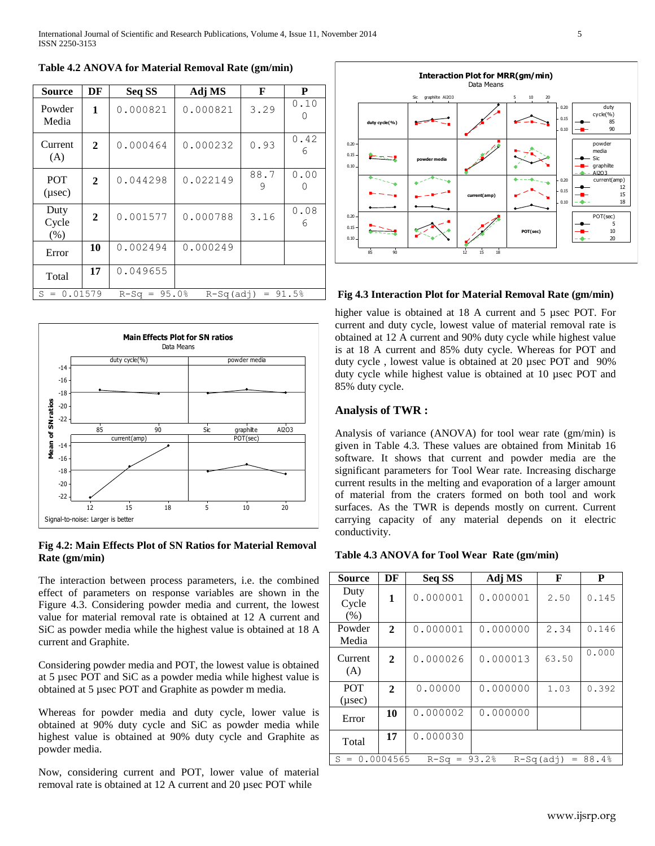**Table 4.2 ANOVA for Material Removal Rate (gm/min)**

| <b>Source</b>                | DF             | Seq SS        | Adj MS                 | F         | P         |  |  |
|------------------------------|----------------|---------------|------------------------|-----------|-----------|--|--|
| Powder<br>Media              | 1              | 0.000821      | 0.000821               | 3.29      | 0.10      |  |  |
| Current<br>(A)               | $\overline{2}$ | 0.000464      | 0.000232               | 0.93      | 0.42<br>6 |  |  |
| <b>POT</b><br>$(\mu$ sec $)$ | $\mathbf{2}$   | 0.044298      | 0.022149               | 88.7<br>9 | 0.00      |  |  |
| Duty<br>Cycle<br>(% )        | $\mathbf{2}$   | 0.001577      | 0.000788               | 3.16      | 0.08<br>6 |  |  |
| Error                        | 10             | 0.002494      | 0.000249               |           |           |  |  |
| Total                        | 17             | 0.049655      |                        |           |           |  |  |
| $S = 0.01579$                |                | $R-Sq = 95.0$ | $= 91.5%$<br>R-Sq(adj) |           |           |  |  |



# **Fig 4.2: Main Effects Plot of SN Ratios for Material Removal Rate (gm/min)**

The interaction between process parameters, i.e. the combined effect of parameters on response variables are shown in the Figure 4.3. Considering powder media and current, the lowest value for material removal rate is obtained at 12 A current and SiC as powder media while the highest value is obtained at 18 A current and Graphite.

Considering powder media and POT, the lowest value is obtained at 5 µsec POT and SiC as a powder media while highest value is obtained at 5 µsec POT and Graphite as powder m media.

Whereas for powder media and duty cycle, lower value is obtained at 90% duty cycle and SiC as powder media while highest value is obtained at 90% duty cycle and Graphite as powder media.

Now, considering current and POT, lower value of material



# **Fig 4.3 Interaction Plot for Material Removal Rate (gm/min)**

higher value is obtained at 18 A current and 5 µsec POT. For current and duty cycle, lowest value of material removal rate is obtained at 12 A current and 90% duty cycle while highest value is at 18 A current and 85% duty cycle. Whereas for POT and duty cycle , lowest value is obtained at 20 µsec POT and 90% duty cycle while highest value is obtained at 10 µsec POT and 85% duty cycle.

# **Analysis of TWR :**

Analysis of variance (ANOVA) for tool wear rate (gm/min) is given in Table 4.3. These values are obtained from Minitab 16 software. It shows that current and powder media are the significant parameters for Tool Wear rate. Increasing discharge current results in the melting and evaporation of a larger amount of material from the craters formed on both tool and work surfaces. As the TWR is depends mostly on current. Current carrying capacity of any material depends on it electric conductivity.

#### **Table 4.3 ANOVA for Tool Wear Rate (gm/min)**

| <b>Source</b>                | DF                                                         | Seq SS   | Adj MS   | F     | P     |  |  |  |
|------------------------------|------------------------------------------------------------|----------|----------|-------|-------|--|--|--|
| Duty<br>Cycle<br>(% )        | 1                                                          | 0.000001 | 0.000001 | 2.50  | 0.145 |  |  |  |
| Powder<br>Media              | $\mathbf{2}$                                               | 0.000001 | 0.000000 | 2.34  | 0.146 |  |  |  |
| Current<br>(A)               | 2                                                          | 0.000026 | 0.000013 | 63.50 | 0.000 |  |  |  |
| <b>POT</b><br>$(\mu$ sec $)$ | $\mathbf{2}$                                               | 0.00000  | 0.000000 | 1.03  | 0.392 |  |  |  |
| Error                        | 10                                                         | 0.000002 | 0.000000 |       |       |  |  |  |
| Total                        | 17                                                         | 0.000030 |          |       |       |  |  |  |
| $S =$                        | 0.0004565<br>$= 88.4%$<br>93.2%<br>$R-Sq =$<br>$R-Sq(adi)$ |          |          |       |       |  |  |  |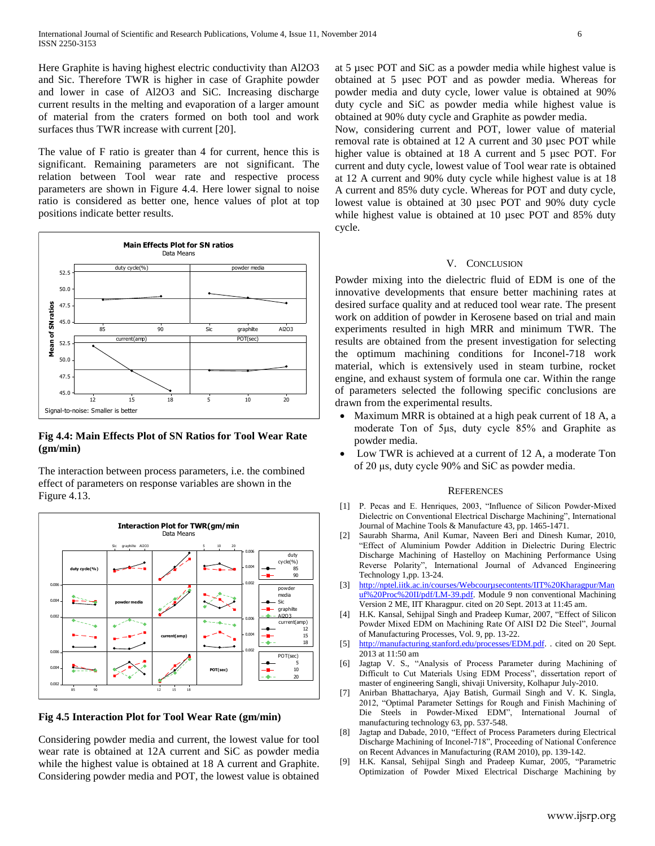Here Graphite is having highest electric conductivity than Al2O3 and Sic. Therefore TWR is higher in case of Graphite powder and lower in case of Al2O3 and SiC. Increasing discharge current results in the melting and evaporation of a larger amount of material from the craters formed on both tool and work surfaces thus TWR increase with current [20].

The value of F ratio is greater than 4 for current, hence this is significant. Remaining parameters are not significant. The relation between Tool wear rate and respective process parameters are shown in Figure 4.4. Here lower signal to noise ratio is considered as better one, hence values of plot at top positions indicate better results.



#### **Fig 4.4: Main Effects Plot of SN Ratios for Tool Wear Rate (gm/min)**

The interaction between process parameters, i.e. the combined effect of parameters on response variables are shown in the Figure 4.13.



**Fig 4.5 Interaction Plot for Tool Wear Rate (gm/min)**

Considering powder media and current, the lowest value for tool wear rate is obtained at 12A current and SiC as powder media while the highest value is obtained at 18 A current and Graphite. Considering powder media and POT, the lowest value is obtained at 5 µsec POT and SiC as a powder media while highest value is obtained at 5 µsec POT and as powder media. Whereas for powder media and duty cycle, lower value is obtained at 90% duty cycle and SiC as powder media while highest value is obtained at 90% duty cycle and Graphite as powder media.

Now, considering current and POT, lower value of material removal rate is obtained at 12 A current and 30 µsec POT while higher value is obtained at 18 A current and 5 µsec POT. For current and duty cycle, lowest value of Tool wear rate is obtained at 12 A current and 90% duty cycle while highest value is at 18 A current and 85% duty cycle. Whereas for POT and duty cycle, lowest value is obtained at 30 µsec POT and 90% duty cycle while highest value is obtained at 10 µsec POT and 85% duty cycle.

## V. CONCLUSION

Powder mixing into the dielectric fluid of EDM is one of the innovative developments that ensure better machining rates at desired surface quality and at reduced tool wear rate. The present work on addition of powder in Kerosene based on trial and main experiments resulted in high MRR and minimum TWR. The results are obtained from the present investigation for selecting the optimum machining conditions for Inconel-718 work material, which is extensively used in steam turbine, rocket engine, and exhaust system of formula one car. Within the range of parameters selected the following specific conclusions are drawn from the experimental results.

- Maximum MRR is obtained at a high peak current of 18 A, a moderate Ton of 5μs, duty cycle 85% and Graphite as powder media.
- Low TWR is achieved at a current of 12 A, a moderate Ton of 20 μs, duty cycle 90% and SiC as powder media.

#### **REFERENCES**

- [1] P. Pecas and E. Henriques, 2003, "Influence of Silicon Powder-Mixed Dielectric on Conventional Electrical Discharge Machining", International Journal of Machine Tools & Manufacture 43, pp. 1465-1471.
- [2] Saurabh Sharma, Anil Kumar, Naveen Beri and Dinesh Kumar, 2010, "Effect of Aluminium Powder Addition in Dielectric During Electric Discharge Machining of Hastelloy on Machining Performance Using Reverse Polarity", International Journal of Advanced Engineering Technology 1,pp. 13-24.
- [3] [http://nptel.iitk.ac.in/courses/Webcourµsecontents/IIT%20Kharagpur/Man](http://nptel.iitk.ac.in/courses/Webcoursecontents/IIT%20Kharagpur/Manuf%20Proc%20II/pdf/LM-39.pdf) [uf%20Proc%20II/pdf/LM-39.pdf.](http://nptel.iitk.ac.in/courses/Webcoursecontents/IIT%20Kharagpur/Manuf%20Proc%20II/pdf/LM-39.pdf) Module 9 non conventional Machining Version 2 ME, IIT Kharagpur. cited on 20 Sept. 2013 at 11:45 am.
- [4] H.K. Kansal, Sehijpal Singh and Pradeep Kumar, 2007, "Effect of Silicon Powder Mixed EDM on Machining Rate Of AISI D2 Die Steel", Journal of Manufacturing Processes, Vol. 9, pp. 13-22.
- [5] [http://manufacturing.stanford.edu/processes/EDM.pdf.](http://manufacturing.stanford.edu/processes/EDM.pdf) . cited on 20 Sept. 2013 at 11:50 am
- [6] Jagtap V. S., "Analysis of Process Parameter during Machining of Difficult to Cut Materials Using EDM Process", dissertation report of master of engineering Sangli, shivaji University, Kolhapur July-2010.
- [7] Anirban Bhattacharya, Ajay Batish, Gurmail Singh and V. K. Singla, 2012, "Optimal Parameter Settings for Rough and Finish Machining of Die Steels in Powder-Mixed EDM", International Journal of manufacturing technology 63, pp. 537-548.
- [8] Jagtap and Dabade, 2010, "Effect of Process Parameters during Electrical Discharge Machining of Inconel-718", Proceeding of National Conference on Recent Advances in Manufacturing (RAM 2010), pp. 139-142.
- [9] H.K. Kansal, Sehijpal Singh and Pradeep Kumar, 2005, "Parametric Optimization of Powder Mixed Electrical Discharge Machining by